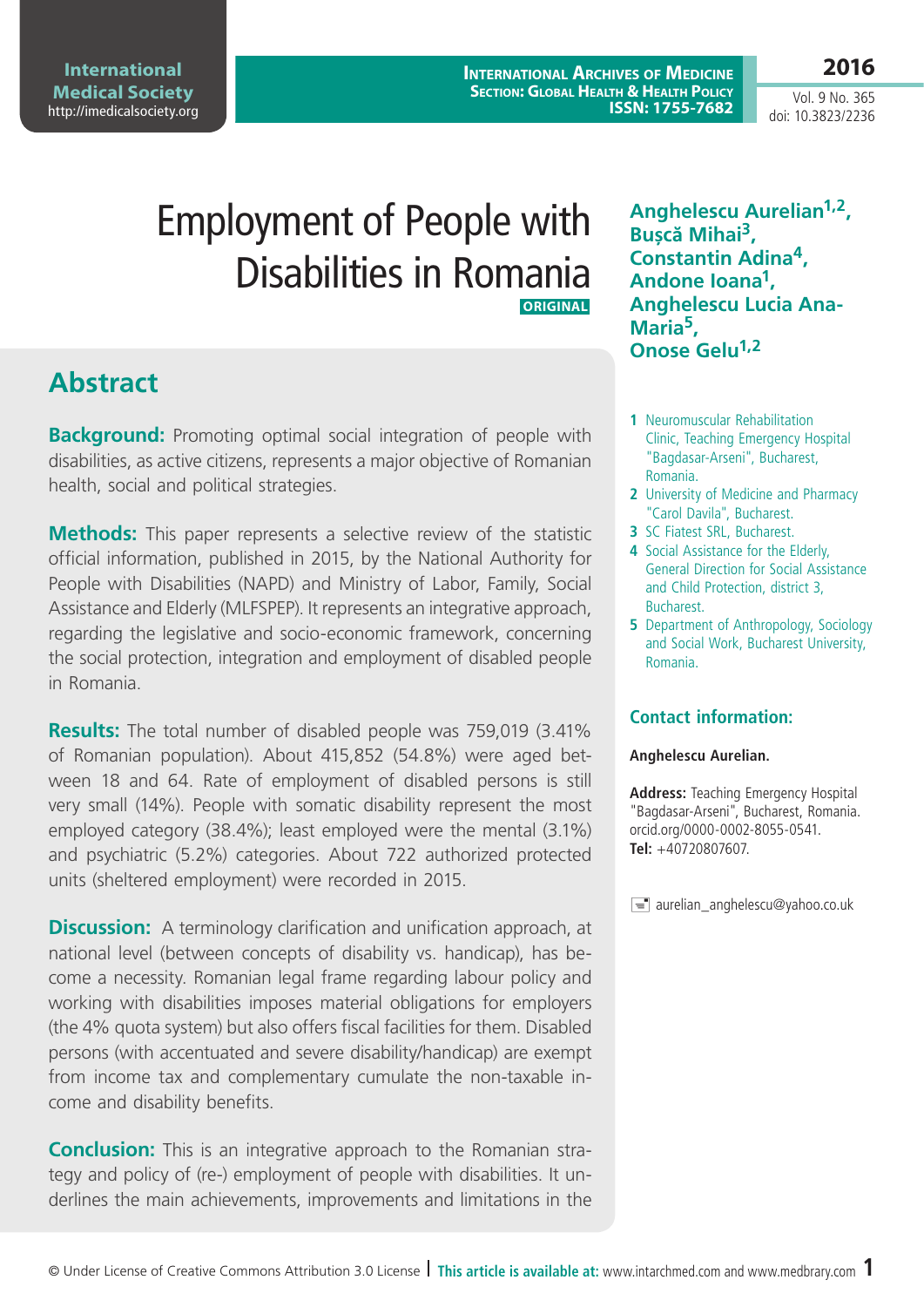Vol. 9 No. 365 doi: 10.3823/2236

**2016**

# Employment of People with Disabilities in Romania  **ORIGINAL**

## **Abstract**

**Background:** Promoting optimal social integration of people with disabilities, as active citizens, represents a major objective of Romanian health, social and political strategies.

**Methods:** This paper represents a selective review of the statistic official information, published in 2015, by the National Authority for People with Disabilities (NAPD) and Ministry of Labor, Family, Social Assistance and Elderly (MLFSPEP). It represents an integrative approach, regarding the legislative and socio-economic framework, concerning the social protection, integration and employment of disabled people in Romania.

**Results:** The total number of disabled people was 759,019 (3.41% of Romanian population). About 415,852 (54.8%) were aged between 18 and 64. Rate of employment of disabled persons is still very small (14%). People with somatic disability represent the most employed category (38.4%); least employed were the mental (3.1%) and psychiatric (5.2%) categories. About 722 authorized protected units (sheltered employment) were recorded in 2015.

**Discussion:** A terminology clarification and unification approach, at national level (between concepts of disability vs. handicap), has become a necessity. Romanian legal frame regarding labour policy and working with disabilities imposes material obligations for employers (the 4% quota system) but also offers fiscal facilities for them. Disabled persons (with accentuated and severe disability/handicap) are exempt from income tax and complementary cumulate the non-taxable income and disability benefits.

**Conclusion:** This is an integrative approach to the Romanian strategy and policy of (re-) employment of people with disabilities. It underlines the main achievements, improvements and limitations in the

**Anghelescu Aurelian1,2, Bușcă Mihai3, Constantin Adina4, Andone Ioana1, Anghelescu Lucia Ana-Maria5, Onose Gelu1,2**

- **1** Neuromuscular Rehabilitation Clinic, Teaching Emergency Hospital "Bagdasar-Arseni", Bucharest, Romania.
- **2** University of Medicine and Pharmacy "Carol Davila", Bucharest.
- **3** SC Fiatest SRL, Bucharest.
- **4** Social Assistance for the Elderly, General Direction for Social Assistance and Child Protection, district 3, Bucharest.
- **5** Department of Anthropology, Sociology and Social Work, Bucharest University, Romania.

#### **Contact information:**

#### **Anghelescu Aurelian.**

**Address:** Teaching Emergency Hospital "Bagdasar-Arseni", Bucharest, Romania. orcid.org/0000-0002-8055-0541. **Tel:** +40720807607.

 $\equiv$  aurelian\_anghelescu@yahoo.co.uk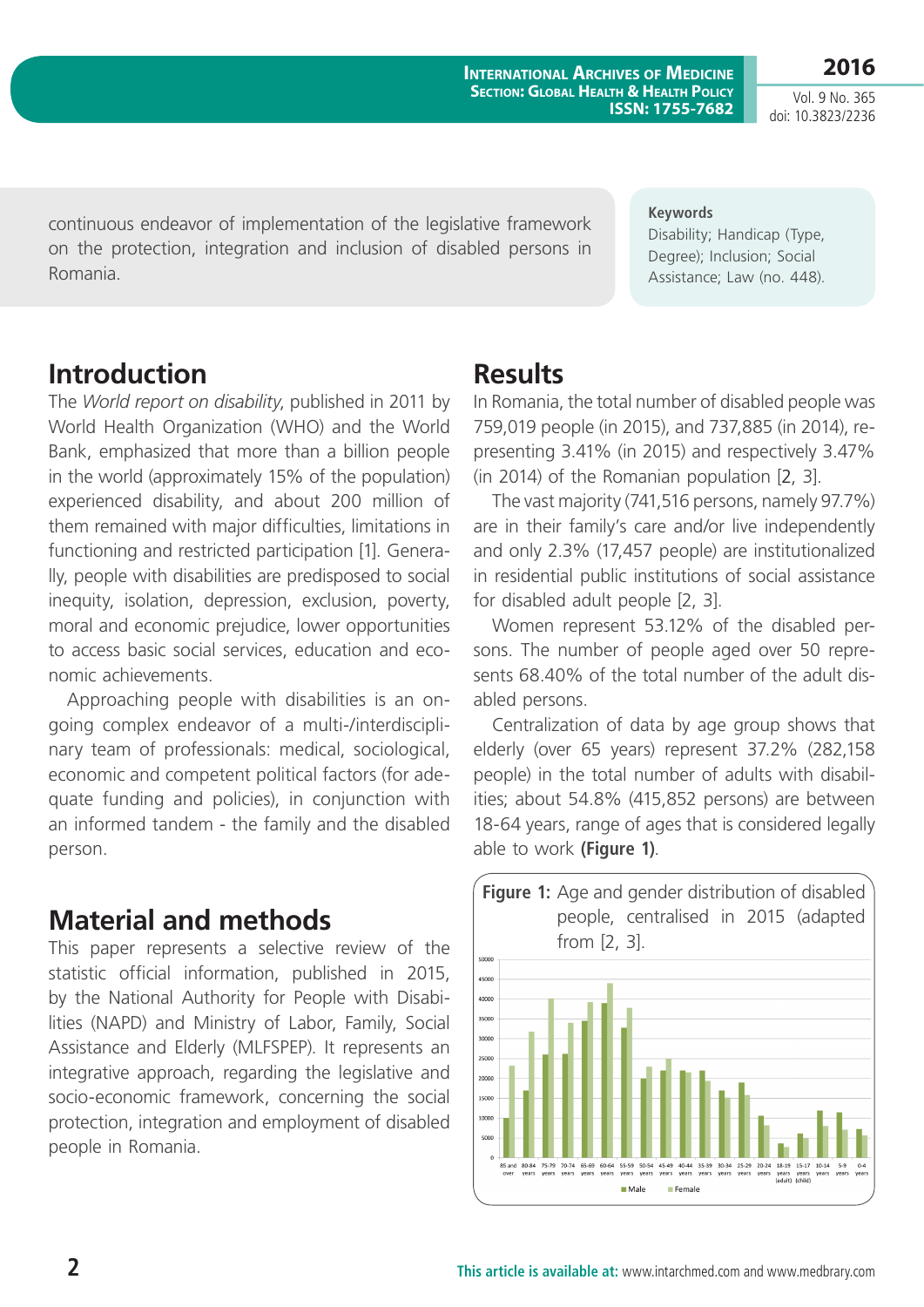Vol. 9 No. 365 doi: 10.3823/2236

**2016**

continuous endeavor of implementation of the legislative framework on the protection, integration and inclusion of disabled persons in Romania.

#### **Keywords**

Disability; Handicap (Type, Degree); Inclusion; Social Assistance; Law (no. 448).

### **Introduction**

The *World report on disability*, published in 2011 by World Health Organization (WHO) and the World Bank, emphasized that more than a billion people in the world (approximately 15% of the population) experienced disability, and about 200 million of them remained with major difficulties, limitations in functioning and restricted participation [1]. Generally, people with disabilities are predisposed to social inequity, isolation, depression, exclusion, poverty, moral and economic prejudice, lower opportunities to access basic social services, education and economic achievements.

Approaching people with disabilities is an ongoing complex endeavor of a multi-/interdisciplinary team of professionals: medical, sociological, economic and competent political factors (for adequate funding and policies), in conjunction with an informed tandem - the family and the disabled person.

### **Material and methods**

This paper represents a selective review of the statistic official information, published in 2015, by the National Authority for People with Disabilities (NAPD) and Ministry of Labor, Family, Social Assistance and Elderly (MLFSPEP). It represents an integrative approach, regarding the legislative and socio-economic framework, concerning the social protection, integration and employment of disabled people in Romania.

#### **Results**

In Romania, the total number of disabled people was 759,019 people (in 2015), and 737,885 (in 2014), representing 3.41% (in 2015) and respectively 3.47% (in 2014) of the Romanian population [2, 3].

The vast majority (741,516 persons, namely 97.7%) are in their family's care and/or live independently and only 2.3% (17,457 people) are institutionalized in residential public institutions of social assistance for disabled adult people [2, 3].

Women represent 53.12% of the disabled persons. The number of people aged over 50 represents 68.40% of the total number of the adult disabled persons.

Centralization of data by age group shows that elderly (over 65 years) represent 37.2% (282,158 people) in the total number of adults with disabilities; about 54.8% (415,852 persons) are between 18-64 years, range of ages that is considered legally able to work **(Figure 1)**.

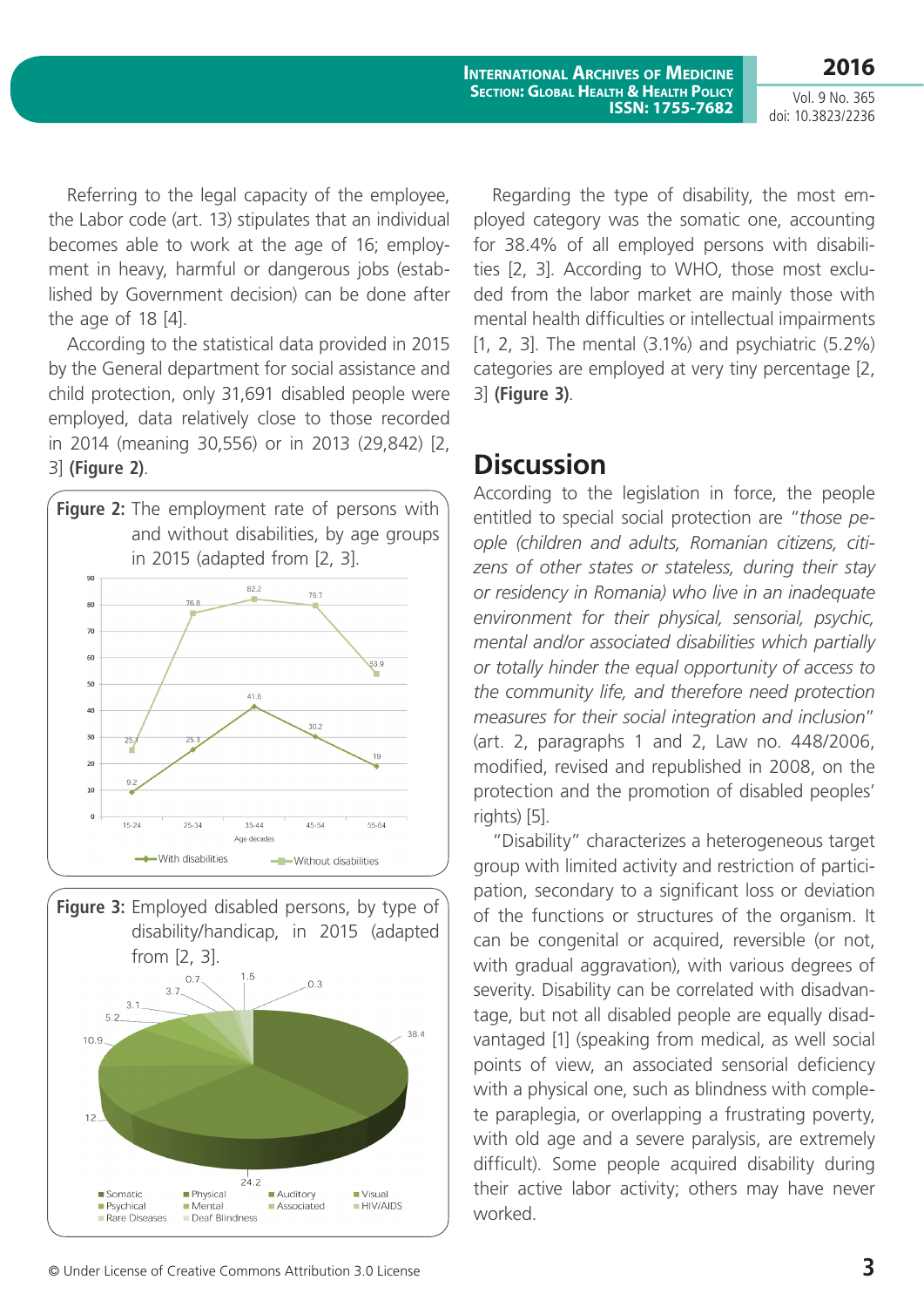**2016** Vol. 9 No. 365 doi: 10.3823/2236

Referring to the legal capacity of the employee, the Labor code (art. 13) stipulates that an individual becomes able to work at the age of 16; employment in heavy, harmful or dangerous jobs (established by Government decision) can be done after the age of 18 [4].

According to the statistical data provided in 2015 by the General department for social assistance and child protection, only 31,691 disabled people were employed, data relatively close to those recorded in 2014 (meaning 30,556) or in 2013 (29,842) [2, 3] **(Figure 2)**.





Regarding the type of disability, the most employed category was the somatic one, accounting for 38.4% of all employed persons with disabilities [2, 3]. According to WHO, those most excluded from the labor market are mainly those with mental health difficulties or intellectual impairments [1, 2, 3]. The mental (3.1%) and psychiatric (5.2%) categories are employed at very tiny percentage [2, 3] **(Figure 3)**.

#### **Discussion**

According to the legislation in force, the people entitled to special social protection are "*those people (children and adults, Romanian citizens, citizens of other states or stateless, during their stay or residency in Romania) who live in an inadequate environment for their physical, sensorial, psychic, mental and/or associated disabilities which partially or totally hinder the equal opportunity of access to the community life, and therefore need protection measures for their social integration and inclusion*" (art. 2, paragraphs 1 and 2, Law no. 448/2006, modified, revised and republished in 2008, on the protection and the promotion of disabled peoples' rights) [5].

"Disability" characterizes a heterogeneous target group with limited activity and restriction of participation, secondary to a significant loss or deviation of the functions or structures of the organism. It can be congenital or acquired, reversible (or not, with gradual aggravation), with various degrees of severity. Disability can be correlated with disadvantage, but not all disabled people are equally disadvantaged [1] (speaking from medical, as well social points of view, an associated sensorial deficiency with a physical one, such as blindness with complete paraplegia, or overlapping a frustrating poverty, with old age and a severe paralysis, are extremely difficult). Some people acquired disability during their active labor activity; others may have never worked.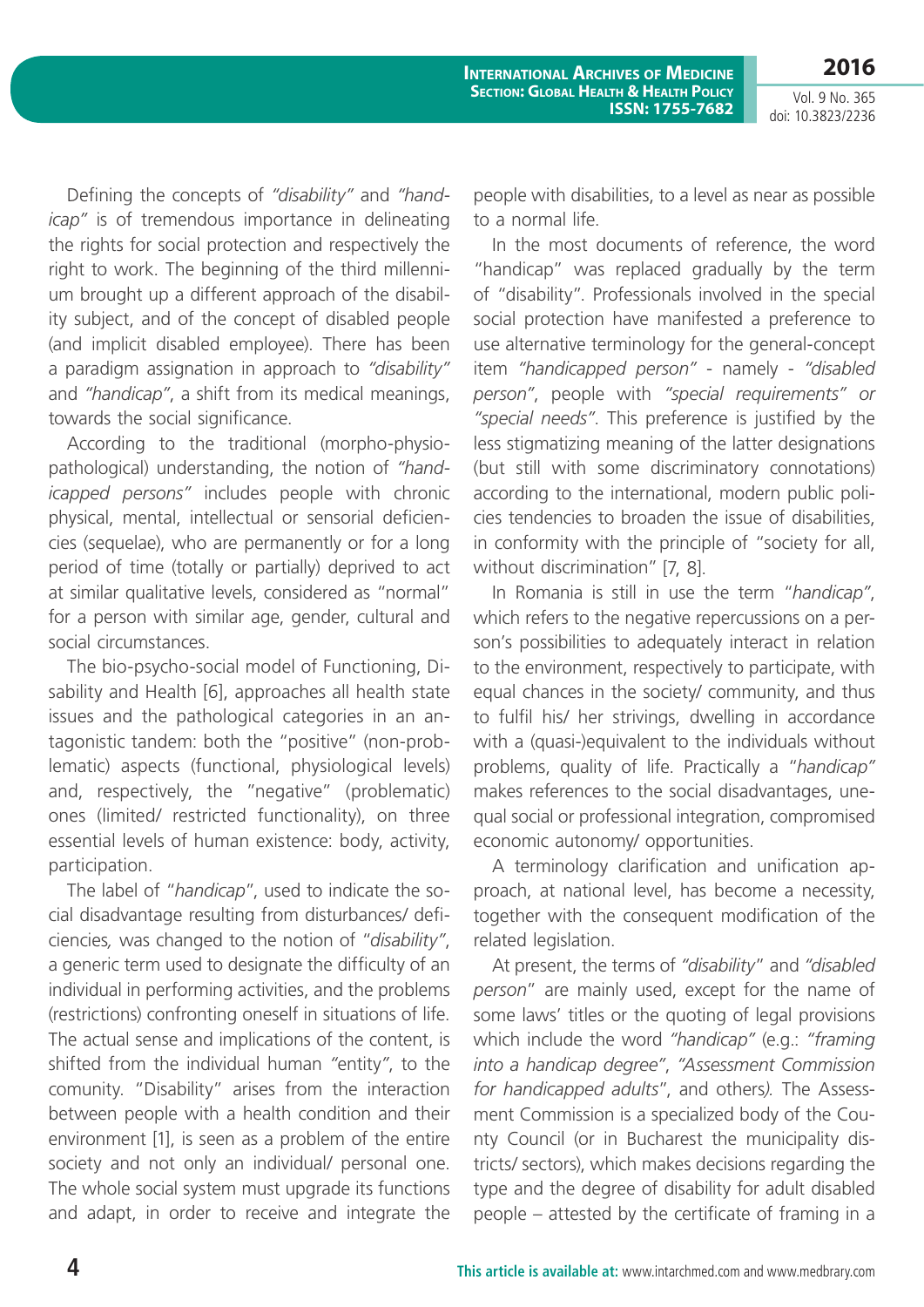**2016**

Vol. 9 No. 365 doi: 10.3823/2236

Defining the concepts of *"disability"* and *"handicap"* is of tremendous importance in delineating the rights for social protection and respectively the right to work. The beginning of the third millennium brought up a different approach of the disability subject, and of the concept of disabled people (and implicit disabled employee). There has been a paradigm assignation in approach to *"disability"*  and *"handicap"*, a shift from its medical meanings, towards the social significance.

According to the traditional (morpho-physiopathological) understanding, the notion of *"handicapped persons"* includes people with chronic physical, mental, intellectual or sensorial deficiencies (sequelae), who are permanently or for a long period of time (totally or partially) deprived to act at similar qualitative levels, considered as "normal" for a person with similar age, gender, cultural and social circumstances.

The bio-psycho-social model of Functioning, Disability and Health [6], approaches all health state issues and the pathological categories in an antagonistic tandem: both the "positive" (non-problematic) aspects (functional, physiological levels) and, respectively, the "negative" (problematic) ones (limited/ restricted functionality), on three essential levels of human existence: body, activity, participation.

The label of "*handicap*", used to indicate the social disadvantage resulting from disturbances/ deficiencies*,* was changed to the notion of "*disability"*, a generic term used to designate the difficulty of an individual in performing activities, and the problems (restrictions) confronting oneself in situations of life. The actual sense and implications of the content, is shifted from the individual human *"*entity*"*, to the comunity. "Disability" arises from the interaction between people with a health condition and their environment [1], is seen as a problem of the entire society and not only an individual/ personal one. The whole social system must upgrade its functions and adapt, in order to receive and integrate the

people with disabilities, to a level as near as possible to a normal life.

In the most documents of reference, the word "handicap" was replaced gradually by the term of "disability". Professionals involved in the special social protection have manifested a preference to use alternative terminology for the general-concept item *"handicapped person"* - namely - *"disabled person"*, people with *"special requirements" or "special needs"*. This preference is justified by the less stigmatizing meaning of the latter designations (but still with some discriminatory connotations) according to the international, modern public policies tendencies to broaden the issue of disabilities, in conformity with the principle of "society for all, without discrimination" [7, 8].

In Romania is still in use the term "*handicap"*, which refers to the negative repercussions on a person's possibilities to adequately interact in relation to the environment, respectively to participate, with equal chances in the society/ community, and thus to fulfil his/ her strivings, dwelling in accordance with a (quasi-)equivalent to the individuals without problems, quality of life. Practically a "*handicap"* makes references to the social disadvantages, unequal social or professional integration, compromised economic autonomy/ opportunities.

A terminology clarification and unification approach, at national level, has become a necessity, together with the consequent modification of the related legislation.

At present, the terms of *"disability*" and *"disabled person*" are mainly used, except for the name of some laws' titles or the quoting of legal provisions which include the word *"handicap"* (e.g.: *"framing into a handicap degree"*, *"Assessment Commission for handicapped adults*", and others*).* The Assessment Commission is a specialized body of the County Council (or in Bucharest the municipality districts/ sectors), which makes decisions regarding the type and the degree of disability for adult disabled people – attested by the certificate of framing in a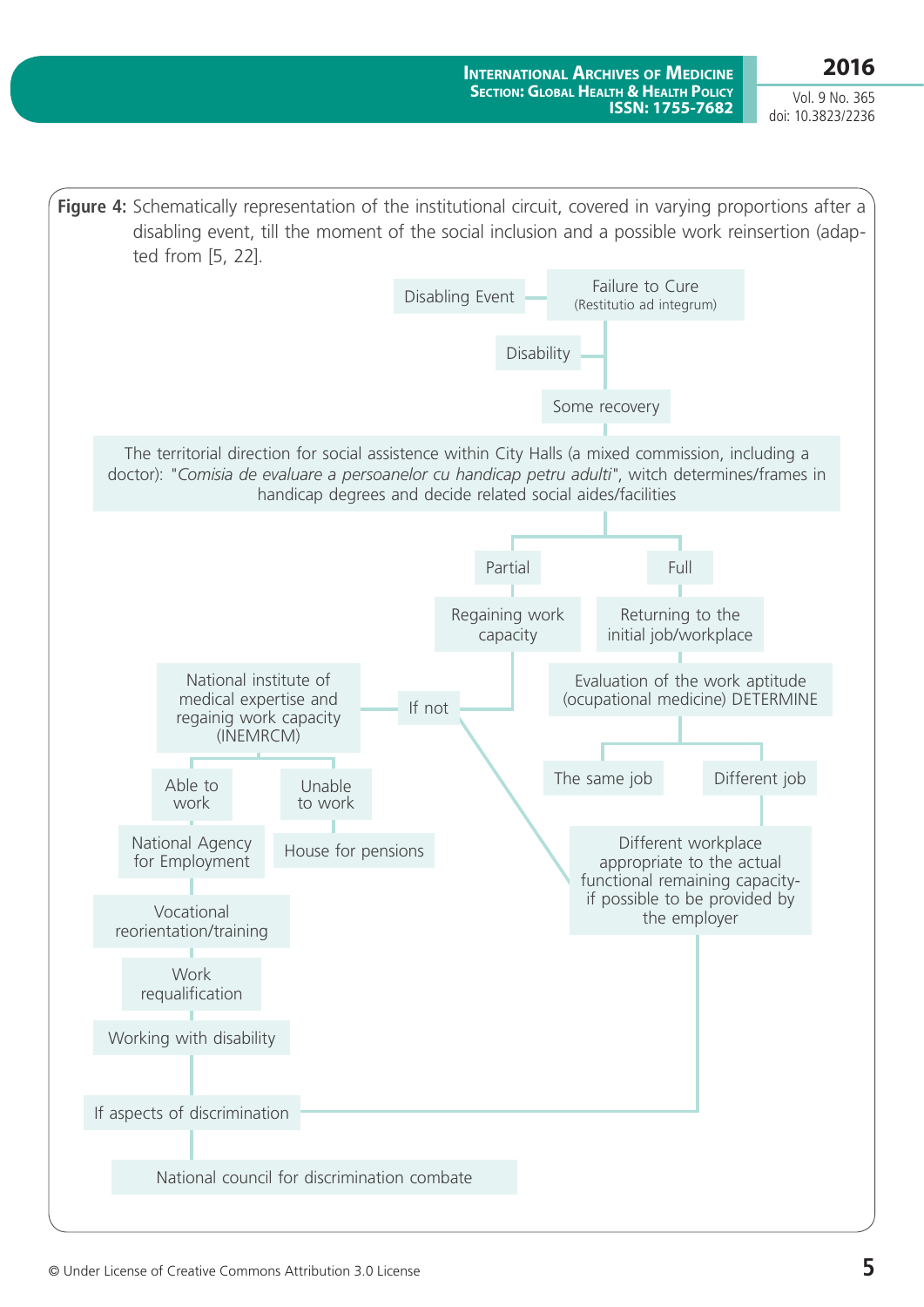Vol. 9 No. 365 doi: 10.3823/2236

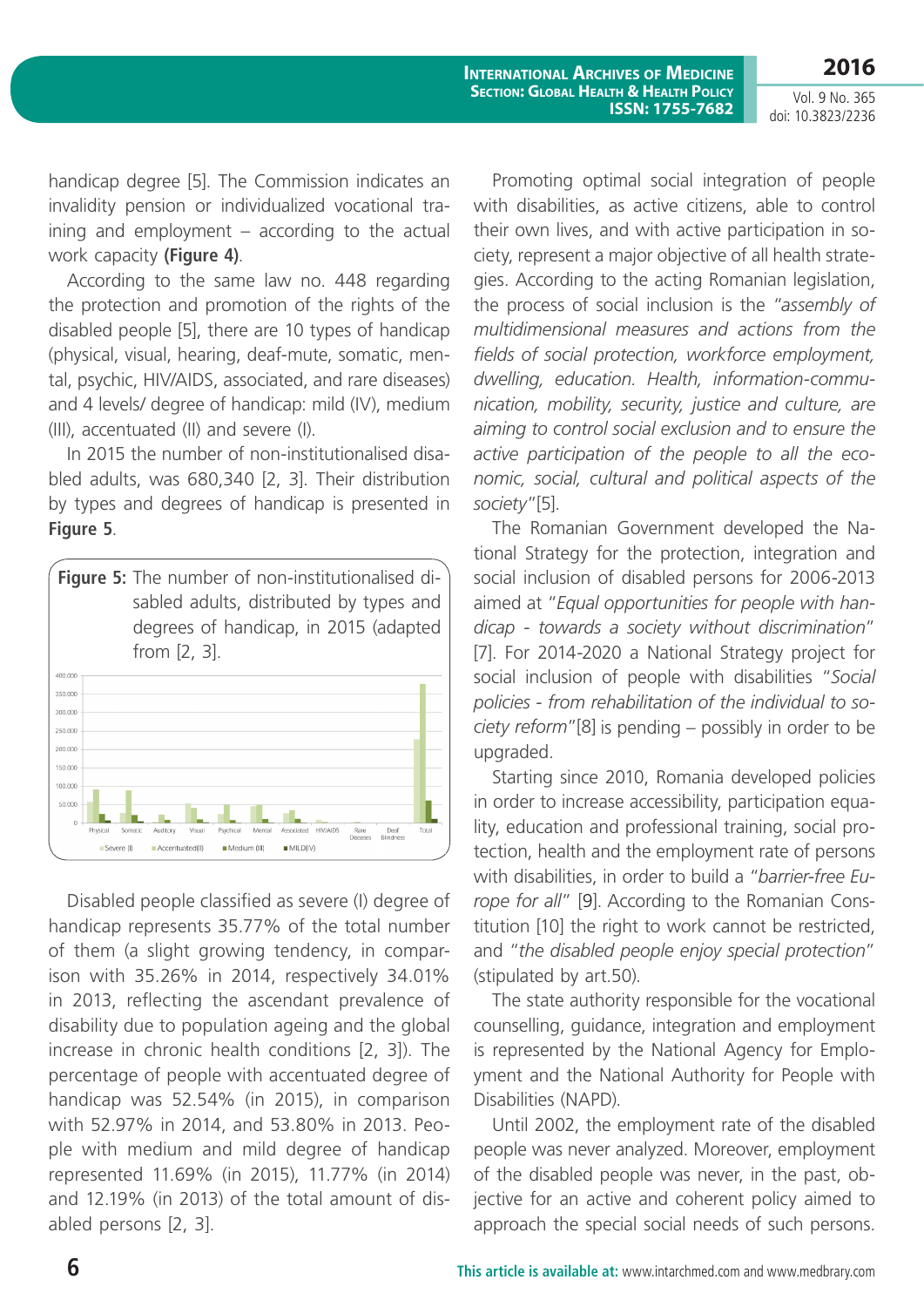Vol. 9 No. 365 doi: 10.3823/2236

handicap degree [5]. The Commission indicates an invalidity pension or individualized vocational training and employment – according to the actual work capacity **(Figure 4)**.

According to the same law no. 448 regarding the protection and promotion of the rights of the disabled people [5], there are 10 types of handicap (physical, visual, hearing, deaf-mute, somatic, mental, psychic, HIV/AIDS, associated, and rare diseases) and 4 levels/ degree of handicap: mild (IV), medium (III), accentuated (II) and severe (I).

In 2015 the number of non-institutionalised disabled adults, was 680,340 [2, 3]. Their distribution by types and degrees of handicap is presented in **Figure 5**.



Disabled people classified as severe (I) degree of handicap represents 35.77% of the total number of them (a slight growing tendency, in comparison with 35.26% in 2014, respectively 34.01% in 2013, reflecting the ascendant prevalence of disability due to population ageing and the global increase in chronic health conditions [2, 3]). The percentage of people with accentuated degree of handicap was 52.54% (in 2015), in comparison with 52.97% in 2014, and 53.80% in 2013. People with medium and mild degree of handicap represented 11.69% (in 2015), 11.77% (in 2014) and 12.19% (in 2013) of the total amount of disabled persons [2, 3].

Promoting optimal social integration of people with disabilities, as active citizens, able to control their own lives, and with active participation in society, represent a major objective of all health strategies. According to the acting Romanian legislation, the process of social inclusion is the "*assembly of multidimensional measures and actions from the fields of social protection, workforce employment, dwelling, education. Health, information-communication, mobility, security, justice and culture, are aiming to control social exclusion and to ensure the active participation of the people to all the economic, social, cultural and political aspects of the society*"[5].

The Romanian Government developed the National Strategy for the protection, integration and social inclusion of disabled persons for 2006-2013 aimed at "*Equal opportunities for people with handicap - towards a society without discrimination*" [7]. For 2014-2020 a National Strategy project for social inclusion of people with disabilities "*Social policies - from rehabilitation of the individual to society reform*"[8] is pending – possibly in order to be upgraded.

Starting since 2010, Romania developed policies in order to increase accessibility, participation equality, education and professional training, social protection, health and the employment rate of persons with disabilities, in order to build a "*barrier-free Europe for all*" [\[9\]](http://www.mmuncii.ro). According to the Romanian Constitution [10] the right to work cannot be restricted, and "*the disabled people enjoy special protection*" (stipulated by art.50).

The state authority responsible for the vocational counselling, guidance, integration and employment is represented by the National Agency for Employment and the National Authority for People with Disabilities (NAPD).

Until 2002, the employment rate of the disabled people was never analyzed. Moreover, employment of the disabled people was never, in the past, objective for an active and coherent policy aimed to approach the special social needs of such persons.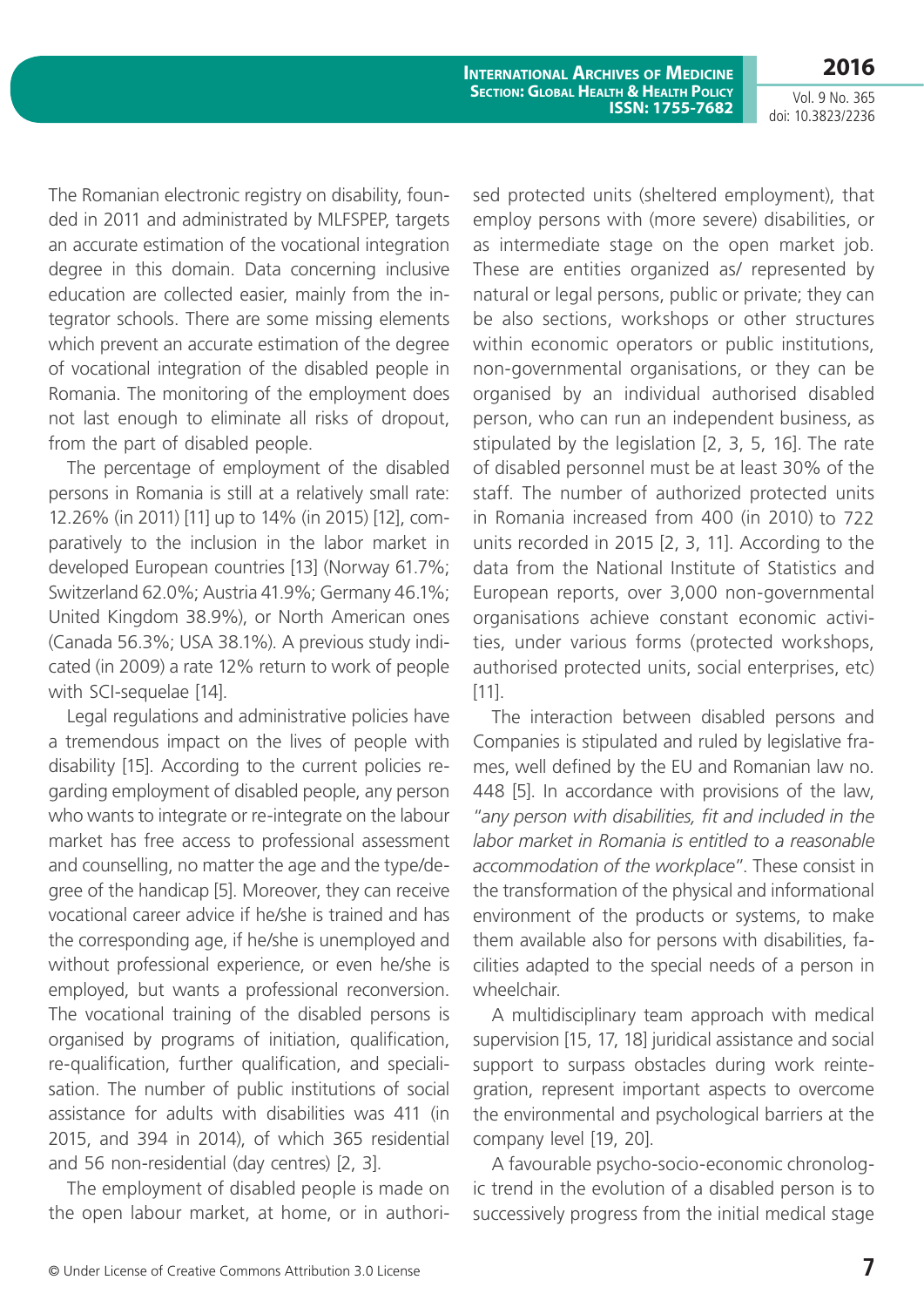Vol. 9 No. 365 doi: 10.3823/2236

The Romanian electronic registry on disability, founded in 2011 and administrated by MLFSPEP, targets an accurate estimation of the vocational integration degree in this domain. Data concerning inclusive education are collected easier, mainly from the integrator schools. There are some missing elements which prevent an accurate estimation of the degree of vocational integration of the disabled people in Romania. The monitoring of the employment does not last enough to eliminate all risks of dropout, from the part of disabled people.

The percentage of employment of the disabled persons in Romania is still at a relatively small rate: 12.26% (in 2011) [11] up to 14% (in 2015) [12], comparatively to the inclusion in the labor market in developed European countries [13] (Norway 61.7%; Switzerland 62.0%; Austria 41.9%; Germany 46.1%; United Kingdom 38.9%), or North American ones (Canada 56.3%; USA 38.1%). A previous study indicated (in 2009) a rate 12% return to work of people with SCI-sequelae [14].

Legal regulations and administrative policies have a tremendous impact on the lives of people with disability [15]. According to the current policies regarding employment of disabled people, any person who wants to integrate or re-integrate on the labour market has free access to professional assessment and counselling, no matter the age and the type/degree of the handicap [5]. Moreover, they can receive vocational career advice if he/she is trained and has the corresponding age, if he/she is unemployed and without professional experience, or even he/she is employed, but wants a professional reconversion. The vocational training of the disabled persons is organised by programs of initiation, qualification, re-qualification, further qualification, and specialisation. The number of public institutions of social assistance for adults with disabilities was 411 (in 2015, and 394 in 2014), of which 365 residential and 56 non-residential (day centres) [2, 3].

The employment of disabled people is made on the open labour market, at home, or in authorised protected units (sheltered employment), that employ persons with (more severe) disabilities, or as intermediate stage on the open market job. These are entities organized as/ represented by natural or legal persons, public or private; they can be also sections, workshops or other structures within economic operators or public institutions, non-governmental organisations, or they can be organised by an individual authorised disabled person, who can run an independent business, as stipulated by the legislation [2, 3, 5, 16]. The rate of disabled personnel must be at least 30% of the staff. The number of authorized protected units in Romania increased from 400 (in 2010) to 722 units recorded in 2015 [2, 3, 11]. According to the data from the National Institute of Statistics and European reports, over 3,000 non-governmental organisations achieve constant economic activities, under various forms (protected workshops, authorised protected units, social enterprises, etc) [11].

The interaction between disabled persons and Companies is stipulated and ruled by legislative frames, well defined by the EU and Romanian law no. 448 [5]. In accordance with provisions of the law, "*any person with disabilities, fit and included in the labor market in Romania is entitled to a reasonable accommodation of the workplace*". These consist in the transformation of the physical and informational environment of the products or systems, to make them available also for persons with disabilities, facilities adapted to the special needs of a person in wheelchair.

A multidisciplinary team approach with medical supervision [15, 17, 18] juridical assistance and social support to surpass obstacles during work reintegration, represent important aspects to overcome the environmental and psychological barriers at the company level [19, 20].

A favourable psycho-socio-economic chronologic trend in the evolution of a disabled person is to successively progress from the initial medical stage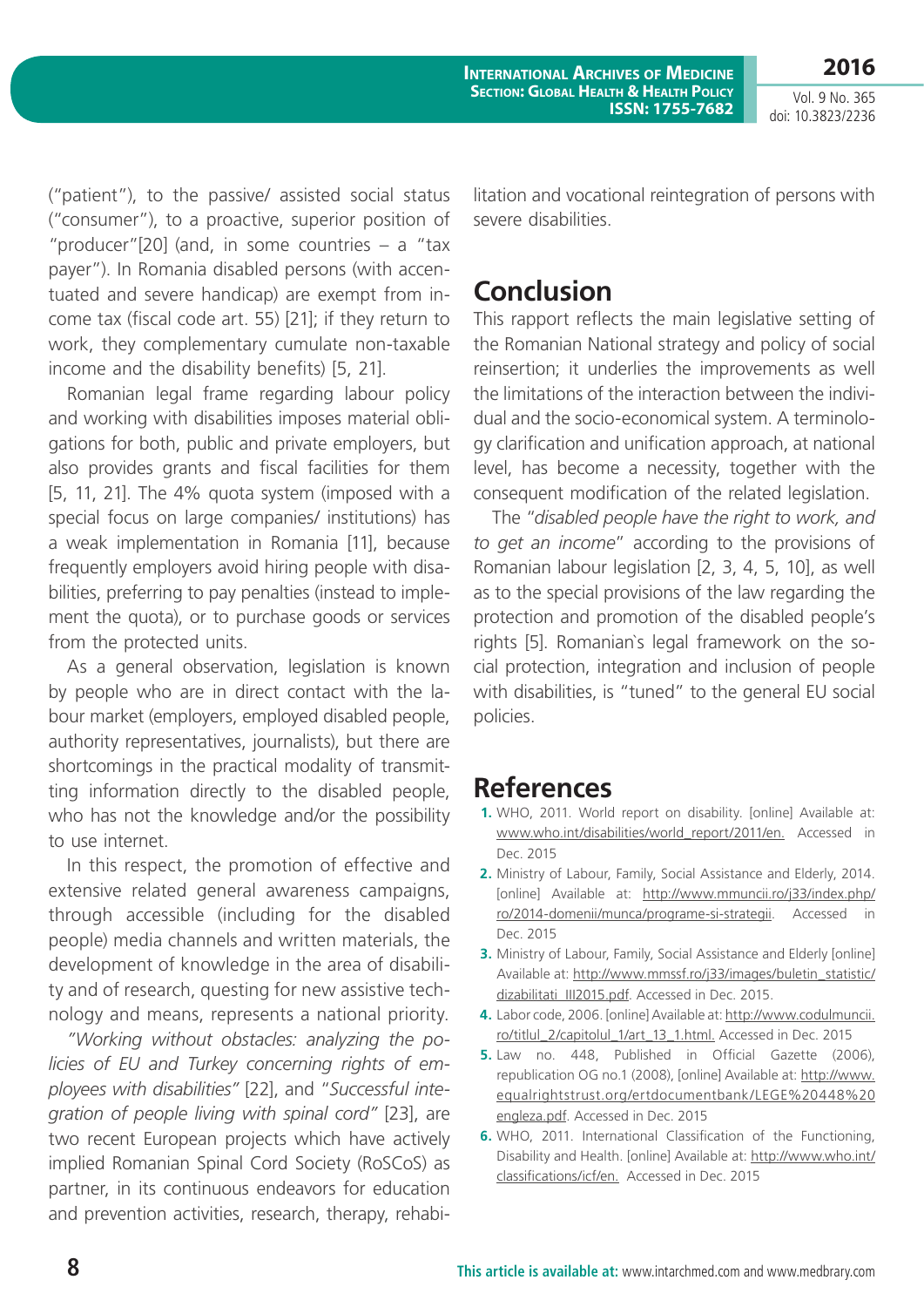Vol. 9 No. 365 doi: 10.3823/2236

**2016**

("patient"), to the passive/ assisted social status ("consumer"), to a proactive, superior position of "producer"[20] (and, in some countries  $-$  a "tax payer"). In Romania disabled persons (with accentuated and severe handicap) are exempt from income tax (fiscal code art. 55) [21]; if they return to work, they complementary cumulate non-taxable income and the disability benefits) [5, 21].

Romanian legal frame regarding labour policy and working with disabilities imposes material obligations for both, public and private employers, but also provides grants and fiscal facilities for them [5, 11, 21]. The 4% quota system (imposed with a special focus on large companies/ institutions) has a weak implementation in Romania [11], because frequently employers avoid hiring people with disabilities, preferring to pay penalties (instead to implement the quota), or to purchase goods or services from the protected units.

As a general observation, legislation is known by people who are in direct contact with the labour market (employers, employed disabled people, authority representatives, journalists), but there are shortcomings in the practical modality of transmitting information directly to the disabled people, who has not the knowledge and/or the possibility to use internet.

In this respect, the promotion of effective and extensive related general awareness campaigns, through accessible (including for the disabled people) media channels and written materials, the development of knowledge in the area of disability and of research, questing for new assistive technology and means, represents a national priority.

*"Working without obstacles: analyzing the policies of EU and Turkey concerning rights of employees with disabilities"* [22], and "*Successful integration of people living with spinal cord"* [23], are two recent European projects which have actively implied Romanian Spinal Cord Society (RoSCoS) as partner, in its continuous endeavors for education and prevention activities, research, therapy, rehabilitation and vocational reintegration of persons with severe disabilities.

### **Conclusion**

This rapport reflects the main legislative setting of the Romanian National strategy and policy of social reinsertion; it underlies the improvements as well the limitations of the interaction between the individual and the socio-economical system. A terminology clarification and unification approach, at national level, has become a necessity, together with the consequent modification of the related legislation.

The "*disabled people have the right to work, and to get an income*" according to the provisions of Romanian labour legislation [2, 3, 4, 5, 10], as well as to the special provisions of the law regarding the protection and promotion of the disabled people's rights [5]. Romanian`s legal framework on the social protection, integration and inclusion of people with disabilities, is "tuned" to the general EU social policies.

### **References**

- **1.** WHO, 2011. World report on disability. [online] Available at: [www.who.int/disabilities/world\\_report/2011/en](www.who.int/disabilities/world_report/2011/en). Accessed in Dec. 2015
- **2.** Ministry of Labour, Family, Social Assistance and Elderly, 2014. [online] Available at: [http://www.mmuncii.ro/j33/index.php/](http://www.mmuncii.ro/j33/index.php/ro/2014-domenii/munca/programe-si-strategii) [ro/2014-domenii/munca/programe-si-strategii](http://www.mmuncii.ro/j33/index.php/ro/2014-domenii/munca/programe-si-strategii). Accessed in Dec. 2015
- **3.** Ministry of Labour, Family, Social Assistance and Elderly [online] Available at: [http://www.mmssf.ro/j33/images/buletin\\_statistic/](http://www.mmssf.ro/j33/images/buletin_statistic/dizabilitati_III2015.pdf) [dizabilitati\\_III2015.pdf](http://www.mmssf.ro/j33/images/buletin_statistic/dizabilitati_III2015.pdf). Accessed in Dec. 2015.
- **4.** Labor code, 2006. [online] Available at: [http://www.codulmuncii.](http://www.codulmuncii.ro/titlul_2/capitolul_1/art_13_1.html.) [ro/titlul\\_2/capitolul\\_1/art\\_13\\_1.html.](http://www.codulmuncii.ro/titlul_2/capitolul_1/art_13_1.html.) Accessed in Dec. 2015
- **5.** Law no. 448, Published in Official Gazette (2006), republication OG no.1 (2008), [online] Available at: [http://www.](http://www.equalrightstrust.org/ertdocumentbank/LEGE%20448%20engleza.pdf) [equalrightstrust.org/ertdocumentbank/LEGE%20448%20](http://www.equalrightstrust.org/ertdocumentbank/LEGE%20448%20engleza.pdf) [engleza.pdf](http://www.equalrightstrust.org/ertdocumentbank/LEGE%20448%20engleza.pdf). Accessed in Dec. 2015
- **6.** WHO, 2011. International Classification of the Functioning, Disability and Health. [online] Available at: [http://www.who.int/](http://www.who.int/classifications/icf/en) [classifications/icf/en](http://www.who.int/classifications/icf/en). Accessed in Dec. 2015